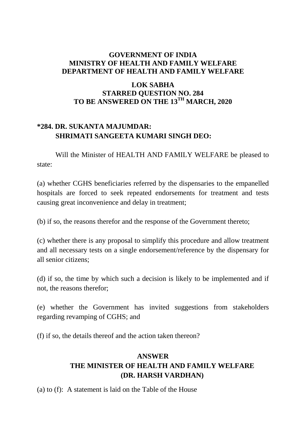### **GOVERNMENT OF INDIA MINISTRY OF HEALTH AND FAMILY WELFARE DEPARTMENT OF HEALTH AND FAMILY WELFARE**

### **LOK SABHA STARRED QUESTION NO. 284 TO BE ANSWERED ON THE 13TH MARCH, 2020**

## **\*284. DR. SUKANTA MAJUMDAR: SHRIMATI SANGEETA KUMARI SINGH DEO:**

Will the Minister of HEALTH AND FAMILY WELFARE be pleased to state:

(a) whether CGHS beneficiaries referred by the dispensaries to the empanelled hospitals are forced to seek repeated endorsements for treatment and tests causing great inconvenience and delay in treatment;

(b) if so, the reasons therefor and the response of the Government thereto;

(c) whether there is any proposal to simplify this procedure and allow treatment and all necessary tests on a single endorsement/reference by the dispensary for all senior citizens;

(d) if so, the time by which such a decision is likely to be implemented and if not, the reasons therefor;

(e) whether the Government has invited suggestions from stakeholders regarding revamping of CGHS; and

(f) if so, the details thereof and the action taken thereon?

# **ANSWER THE MINISTER OF HEALTH AND FAMILY WELFARE (DR. HARSH VARDHAN)**

(a) to (f): A statement is laid on the Table of the House